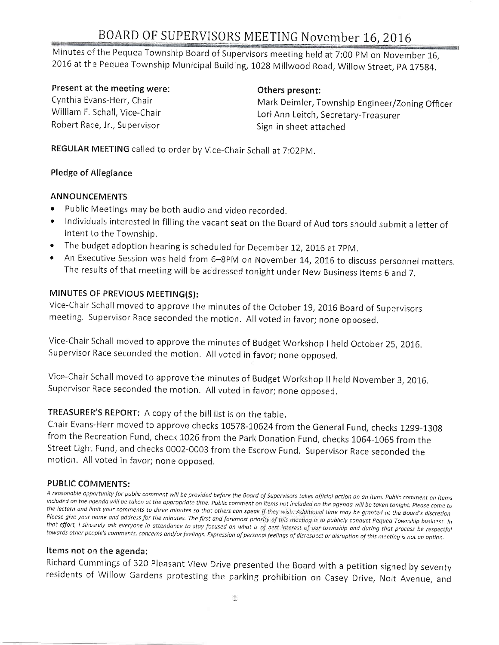Minutes of the Pequea Township Board of Supervisors meeting held at 7:00 PM on November 16, 2016 at the Pequea Township Municipal Building, 1028 Millwood Road, Willow Street, PA 17584.

#### Present at the meeting were:

Cynthia Evans-Herr, Chair William F. Schall, Vice-Chair Robert Race, Jr., Supervisor

#### 0thers present:

Mark Deimler, Township Engineer/Zoning Officer Lori Ann Leitch, Secretary-Treasurer Sign-in sheet attached

REGULAR MEETING called to order by Vice-Chair Schall at 7:02PM.

#### Pledge of Allegiance

#### ANNOUNCEMENTS

- Public Meetings may be both audio and video recorded.
- Individuals interested in filling the vacant seat on the Board of Auditors should submit a letter of intent to the Township.
- The budget adoption hearing is scheduled for December 12, 2016 at 7PM.
- An Executive Session was held from 6-8PM on November 14, 2016 to discuss personnel matters. The results of that meeting will be addressed tonight under New Business Items 6 and 7.

#### MINUTES OF PREVIOUS MEETING(S):

Vice-Chair Schall moved to approve the minutes of the October 19, 2016 Board of Supervisors meeting, Supervisor Race seconded the motion. All voted in favor; none opposed.

Vice-Chair Schall moved to approve the minutes of Budget Workshop I held October 25, 2016. supervisor Race seconded the motion. All voted in favor; none opposed.

Vice-Chair Schall moved to approve the minutes of Budget Workshop II held November 3, 2016. Supervisor Race seconded the motion. All voted in favor; none opposed.

#### TREASURER'S REPORT: A copy of the bill list is on the table.

Chair Evans-Herr moved to approve checks 10578-10624 from the General Fund, checks 1299-1308 from the Recreation Fund, check 1026 from the Park Donation Fund, checks 1064-1065 from the Street Light Fund, and checks 0002-0003 from the Escrow Fund. Supervisor Race seconded the motion. All voted in favor; none opposed.

PUBLIC COMMENTS:<br>A reasonable opportunity for public comment will be provided before the Board of Supervisors takes official action on an item. Public comment on items included on the agenda will be taken at the appropriate time. Public comment on items not included on the agenda will be taken tonight. Please come to<br>the lectern and limit your comments to three minutes so that others can

#### Items not on the agenda:

Richard Cummings of 320 Pleasant View Drive presented the Board with a petition signed by seventy residents of Willow Gardens protesting the parking prohibition on Casey Drive, Nolt Avenue, and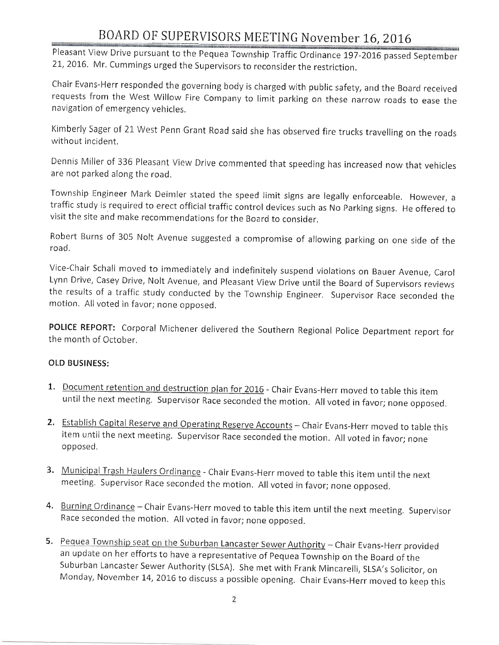Pleasant View Drive pursuant to the Pequea Township Traffic Ordinance 197-2016 passed September 21, 2016. Mr. Cummings urged the Supervisors to reconsider the restriction.

Chair Evans-Herr responded the governing body is charged with public safety, and the Board received requests from the West Willow Fire Company to limit parking on these narrow roads to ease the navigation of emergency vehicles,

Kimberly Sager of 21 West Penn Grant Road said she has observed fire trucks travelling on the roads without incident,

Dennis Miller of 336 Pleasant View Drive commented that speeding has increased now that vehicles are not parked along the road,

Township Engineer Mark Deimler stated the speed limit signs are legally enforceable. However, a traffic study is required to erect official traffic control devices such as No Parking signs. He offered to visit the site and make recommendations for the Board to consider.

Robert Burns of 305 Nolt Avenue suggested a compromise of allowing parking on one side of the road.

Vice-Chair Schall moved to immediately and indefinitely suspend violations on Bauer Avenue, Carol the results of a traffic study conducted by the Township Engineer. Supervisor Race seconded the motion, All voted in favor; none opposed.

POLICE REPORT: Corporal Michener delivered the Southern Regional Police Department report for the month of October.

#### OLD BUSINESS:

- 1. Document retention and destruction plan for 2016 Chair Evans-Herr moved to table this item until the next meeting. Supervisor Race seconded the motion. All voted in favor; none opposed.
- 2. Establish Capital Reserve and Operating Reserve Accounts Chair Evans-Herr moved to table this item until the next meeting. Supervisor Race seconded the motion. All voted in favor; none opposed.
- 3. Municipal Trash Haulers Ordinance Chair Evans-Herr moved to table this item until the next meeting. Supervisor Race seconded the motion. All voted in favor; none opposed.
- 4. Burning Ordinance Chair Evans-Herr moved to table this item until the next meeting. Supervisor Race seconded the motion, All voted in favor; none opposed.
- 5. Pequea Township seat on the Suburban Lancaster Sewer Authority Chair Evans-Herr provided an update on her efforts to have a representative of pequea Township on the Board of the Suburban Lancaster Sewer Authority (SLSA). She met with Frank Mincarelli, SLSA's Solicitor, on Monday, November 14, 2016 to discuss a possible opening. Chair Evans-Herr moved to keep this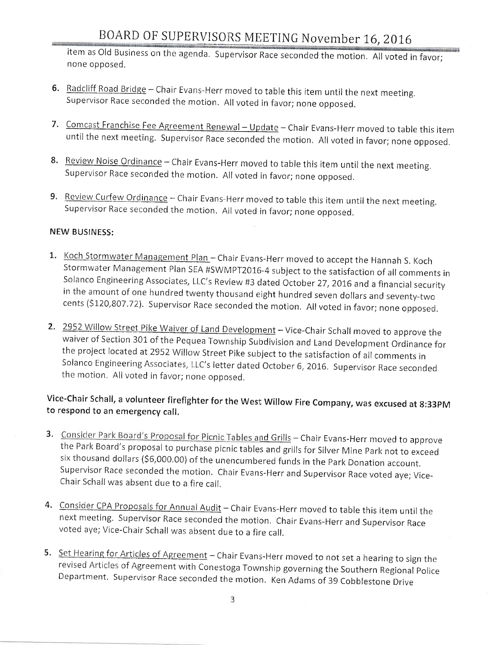item as Old Business on the agenda. Supervisor Race seconded the motion. All voted in favor; none opposed.

- 6. Radcliff Road Bridge Chair Evans-Herr moved to table this item until the next meeting. Supervisor Race seconded the motion. All voted in favor; none opposed.
- 7. Comcast Franchise Fee Agreement Renewal Update Chair Evans-Herr moved to table this item until the next meeting. Supervisor Race seconded the motion. All voted in favor; none opposed.
- 8. Review Noise Ordinance Chair Evans-Herr moved to table this item until the next meeting. Supervisor Race seconded the motion. All voted in favor; none opposed.
- 9. Review Curfew Ordinance Chair Evans-Herr moved to table this item until the next meeting. Supervisor Race seconded the motion. All voted in favor; none opposed.

#### **NEW BUSINESS:**

- 1. Koch Stormwater Management Plan Chair Evans-Herr moved to accept the Hannah S. Koch Stormwater Management Plan SEA #SWMPT2016-4 subject to the satisfaction of all comments in Solanco Engineering Associates, LLC's Review #3 dated October 27, 2016 and a financial security in the amount of one hundred twenty thousand eight hundred seven dollars and seventy-two cents (\$120,807.72). Supervisor Race seconded the motion. All voted in favor; none opposed.
- 2. 2952 Willow Street Pike Waiver of Land Development Vice-Chair Schall moved to approve the waiver of Section 301 of the Pequea Township Subdivision and Land Development Ordinance for the project located at 2952 Willow Street Pike subject to the satisfaction of all comments in Solanco Engineering Associates, LLC's letter dated October 6, 2016. Supervisor Race seconded the motion. All voted in favor; none opposed.

### Vice-Chair Schall, a volunteer firefighter for the West Willow Fire Company, was excused at 8:33PM to respond to an emergency call.

- 3. Consider Park Board's Proposal for Picnic Tables and Grills Chair Evans-Herr moved to approve the Park Board's proposal to purchase picnic tables and grills for Silver Mine Park not to exceed six thousand dollars (\$6,000.00) of the unencumbered funds in the Park Donation account. Supervisor Race seconded the motion. Chair Evans-Herr and Supervisor Race voted aye; Vice-Chair Schall was absent due to a fire call.
- 4. Consider CPA Proposals for Annual Audit Chair Evans-Herr moved to table this item until the next meeting. Supervisor Race seconded the motion. Chair Evans-Herr and Supervisor Race voted aye; Vice-Chair Schall was absent due to a fire call.
- 5. Set Hearing for Articles of Agreement Chair Evans-Herr moved to not set a hearing to sign the revised Articles of Agreement with Conestoga Township governing the Southern Regional Police Department. Supervisor Race seconded the motion. Ken Adams of 39 Cobblestone Drive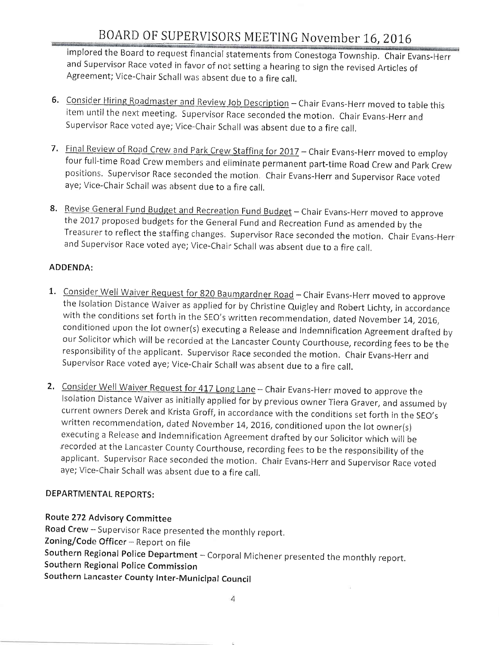implored the Board to request financial statements from Conestoga Township. Chair Evans-Herr and Supervisor Race voted in favor of not setting a hearing to sign the revised Articles of Agreement; Vice-Chair schall was absent due to a fire call.

- 6. Consider Hiring Roadmaster and Review Job Description Chair Evans-Herr moved to table this item until the next meeting. Supervisor Race seconded the motion. Chair Evans-Herr and Supervisor Race voted aye; Vice-Chair Schall was absent due to a fire call.
- 7. Final Review of Road Crew and Park Crew Staffing for 2017 Chair Evans-Herr moved to employ four full-time Road Crew members and eliminate permanent part-time Road Crew and Park Crew positions. Supervisor Race seconded the motion. Chair Evans-Herr and Supervisor Race voted aye; Vice-Chair Schall was absent due to a fire call,
- 8. Revise General Fund Budget and Recreation Fund Budget Chair Evans-Herr moved to approve the 2017 proposed budgets for the General Fund and Recreation Fund as amended by the Treasurer to reflect the staffing changes. Supervisor Race seconded the motion. Chair Evans-Herr and Supervisor Race voted aye; Vice-Chair Schall was absent due to a fire call.

#### ADDENDA:

- 1. Consider Well Waiver Request for 820 Baumgardner Road Chair Evans-Herr moved to approve the Isolation Distance Waiver as applied for by Christine Quigley and Robert Lichty, in accordance with the conditions set forth in the SEO's written recommendation, dated November 14, 2016, conditioned upon the lot owner(s) executing a Release and lndemnification Agreement drafted by responsibility of the applicant. Supervisor Race seconded the motion. Chair Evans-Herr and supervisor Race voted aye; Vice-chair schall was absent due to a fire call.
- 2. Consider Well Waiver Request for 417 Long Lane Chair Evans-Herr moved to approve the lsolation Distance Waiver as initially applied for by previous owner Tiera Graver, and assumed by<br>current owners Derek and Krista Groff, in accordance with the conditions set forth in the SEO's written recommendation, dated November 14, 2016, conditioned upon the lot owner(s) executing a Release and Indemnification Agreement drafted by our Solicitor which will be<br>recorded at the Lancaster County Courthouse, recording fees to be the responsibility of the applicant. Supervisor Race seconded the motion. Chair Evans-Herr and Supervisor Race voted aye; Vice-Chair Schall was absent due to a fire call.

#### DEPARTMENTAL REPORTS:

#### Route 272 Advisory Committee

Road Crew - Supervisor Race presented the monthly report, Zoning/Code Officer - Report on file Southern Regional Police Department - Corporal Michener presented the monthly report. Southern Regional Police Commission Southern Lancaster County Inter-Municipal Council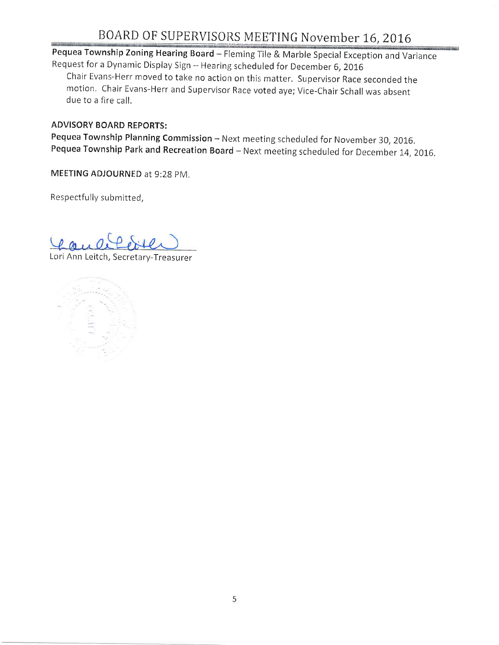Pequea Township Zoning Hearing Board - Fleming Tile & Marble Special Exception and Variance Request for a Dynamic Display Sign -- Hearing scheduled for December 6, 2016 Chair Evans-Herr moved to take no action on this matter. Supervisor Race seconded the motion. Chair Evans-Herr and Supervisor Race voted aye; Vice-Chair Schall was absent due to a fire call.

#### ADVISORY BOARD REPORTS:

Pequea Township Planning Commission - Next meeting scheduled for November 30, 2016. Pequea Township Park and Recreation Board - Next meeting scheduled for December 14, 2016.

MEETING ADJOURNED at 9:28 pM.

Respectfully submitted,

Lori Ann Leitch, Secretary-Treasurer